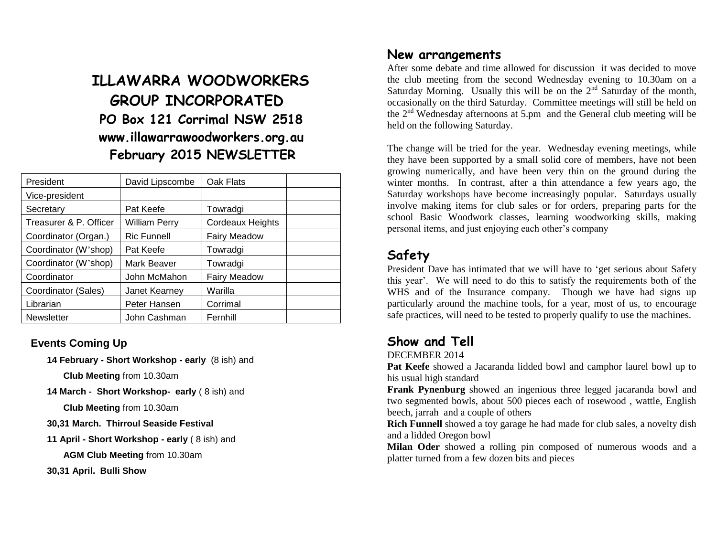# **ILLAWARRA WOODWORKERS GROUP INCORPORATED PO Box 121 Corrimal NSW 2518 www.illawarrawoodworkers.org.au February 2015 NEWSLETTER**

| President              | David Lipscombe    | Oak Flats               |  |
|------------------------|--------------------|-------------------------|--|
| Vice-president         |                    |                         |  |
| Secretary              | Pat Keefe          | Towradgi                |  |
| Treasurer & P. Officer | William Perry      | <b>Cordeaux Heights</b> |  |
| Coordinator (Organ.)   | <b>Ric Funnell</b> | <b>Fairy Meadow</b>     |  |
| Coordinator (W'shop)   | Pat Keefe          | Towradgi                |  |
| Coordinator (W'shop)   | Mark Beaver        | Towradgi                |  |
| Coordinator            | John McMahon       | <b>Fairy Meadow</b>     |  |
| Coordinator (Sales)    | Janet Kearney      | Warilla                 |  |
| Librarian              | Peter Hansen       | Corrimal                |  |
| <b>Newsletter</b>      | John Cashman       | Fernhill                |  |

#### **Events Coming Up**

**14 February - Short Workshop - early** (8 ish) and

**Club Meeting** from 10.30am

**14 March - Short Workshop- early** ( 8 ish) and

**Club Meeting** from 10.30am

- **30,31 March. Thirroul Seaside Festival**
- **11 April - Short Workshop - early** ( 8 ish) and

**AGM Club Meeting** from 10.30am

**30,31 April. Bulli Show**

#### **New arrangements**

After some debate and time allowed for discussion it was decided to move the club meeting from the second Wednesday evening to 10.30am on a Saturday Morning. Usually this will be on the  $2<sup>nd</sup>$  Saturday of the month, occasionally on the third Saturday. Committee meetings will still be held on the  $2<sup>nd</sup>$  Wednesday afternoons at 5.pm and the General club meeting will be held on the following Saturday.

The change will be tried for the year. Wednesday evening meetings, while they have been supported by a small solid core of members, have not been growing numerically, and have been very thin on the ground during the winter months. In contrast, after a thin attendance a few years ago, the Saturday workshops have become increasingly popular. Saturdays usually involve making items for club sales or for orders, preparing parts for the school Basic Woodwork classes, learning woodworking skills, making personal items, and just enjoying each other's company

## **Safety**

President Dave has intimated that we will have to 'get serious about Safety this year'. We will need to do this to satisfy the requirements both of the WHS and of the Insurance company. Though we have had signs up particularly around the machine tools, for a year, most of us, to encourage safe practices, will need to be tested to properly qualify to use the machines.

### **Show and Tell**

DECEMBER 2014

**Pat Keefe** showed a Jacaranda lidded bowl and camphor laurel bowl up to his usual high standard

**Frank Pynenburg** showed an ingenious three legged jacaranda bowl and two segmented bowls, about 500 pieces each of rosewood , wattle, English beech, jarrah and a couple of others

**Rich Funnell** showed a toy garage he had made for club sales, a novelty dish and a lidded Oregon bowl

**Milan Oder** showed a rolling pin composed of numerous woods and a platter turned from a few dozen bits and pieces